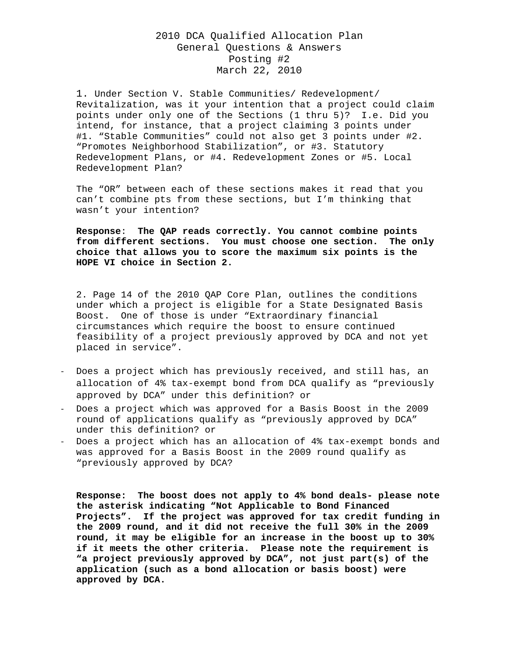## 2010 DCA Qualified Allocation Plan General Questions & Answers Posting #2 March 22, 2010

1. Under Section V. Stable Communities/ Redevelopment/ Revitalization, was it your intention that a project could claim points under only one of the Sections (1 thru 5)? I.e. Did you intend, for instance, that a project claiming 3 points under #1. "Stable Communities" could not also get 3 points under #2. "Promotes Neighborhood Stabilization", or #3. Statutory Redevelopment Plans, or #4. Redevelopment Zones or #5. Local Redevelopment Plan?

The "OR" between each of these sections makes it read that you can't combine pts from these sections, but I'm thinking that wasn't your intention?

**Response**: **The QAP reads correctly. You cannot combine points from different sections. You must choose one section. The only choice that allows you to score the maximum six points is the HOPE VI choice in Section 2.** 

2. Page 14 of the 2010 QAP Core Plan, outlines the conditions under which a project is eligible for a State Designated Basis Boost. One of those is under "Extraordinary financial circumstances which require the boost to ensure continued feasibility of a project previously approved by DCA and not yet placed in service".

- ‐ Does a project which has previously received, and still has, an allocation of 4% tax-exempt bond from DCA qualify as "previously approved by DCA" under this definition? or
- ‐ Does a project which was approved for a Basis Boost in the 2009 round of applications qualify as "previously approved by DCA" under this definition? or
- ‐ Does a project which has an allocation of 4% tax-exempt bonds and was approved for a Basis Boost in the 2009 round qualify as "previously approved by DCA?

**Response: The boost does not apply to 4% bond deals- please note the asterisk indicating "Not Applicable to Bond Financed Projects". If the project was approved for tax credit funding in the 2009 round, and it did not receive the full 30% in the 2009 round, it may be eligible for an increase in the boost up to 30% if it meets the other criteria. Please note the requirement is "a project previously approved by DCA", not just part(s) of the application (such as a bond allocation or basis boost) were approved by DCA.**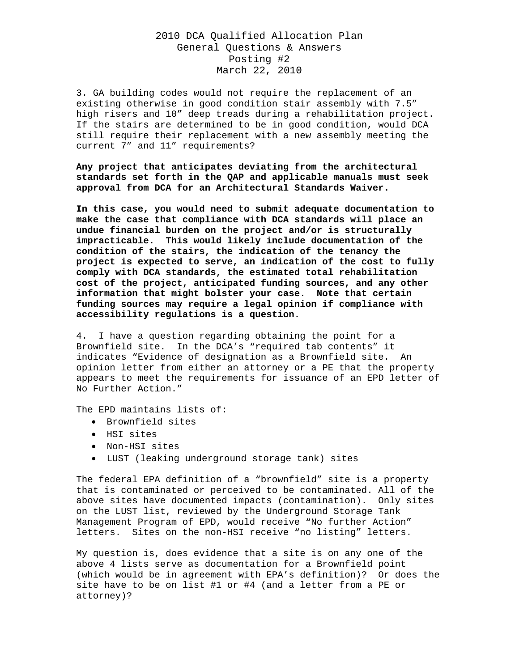## 2010 DCA Qualified Allocation Plan General Questions & Answers Posting #2 March 22, 2010

3. GA building codes would not require the replacement of an existing otherwise in good condition stair assembly with 7.5" high risers and 10" deep treads during a rehabilitation project. If the stairs are determined to be in good condition, would DCA still require their replacement with a new assembly meeting the current 7" and 11" requirements?

**Any project that anticipates deviating from the architectural standards set forth in the QAP and applicable manuals must seek approval from DCA for an Architectural Standards Waiver.** 

**In this case, you would need to submit adequate documentation to make the case that compliance with DCA standards will place an undue financial burden on the project and/or is structurally impracticable. This would likely include documentation of the condition of the stairs, the indication of the tenancy the project is expected to serve, an indication of the cost to fully comply with DCA standards, the estimated total rehabilitation cost of the project, anticipated funding sources, and any other information that might bolster your case. Note that certain funding sources may require a legal opinion if compliance with accessibility regulations is a question.** 

4. I have a question regarding obtaining the point for a Brownfield site. In the DCA's "required tab contents" it indicates "Evidence of designation as a Brownfield site. An opinion letter from either an attorney or a PE that the property appears to meet the requirements for issuance of an EPD letter of No Further Action."

The EPD maintains lists of:

- Brownfield sites
- HSI sites
- Non-HSI sites
- LUST (leaking underground storage tank) sites

The federal EPA definition of a "brownfield" site is a property that is contaminated or perceived to be contaminated. All of the above sites have documented impacts (contamination). Only sites on the LUST list, reviewed by the Underground Storage Tank Management Program of EPD, would receive "No further Action" letters. Sites on the non-HSI receive "no listing" letters.

My question is, does evidence that a site is on any one of the above 4 lists serve as documentation for a Brownfield point (which would be in agreement with EPA's definition)? Or does the site have to be on list #1 or #4 (and a letter from a PE or attorney)?